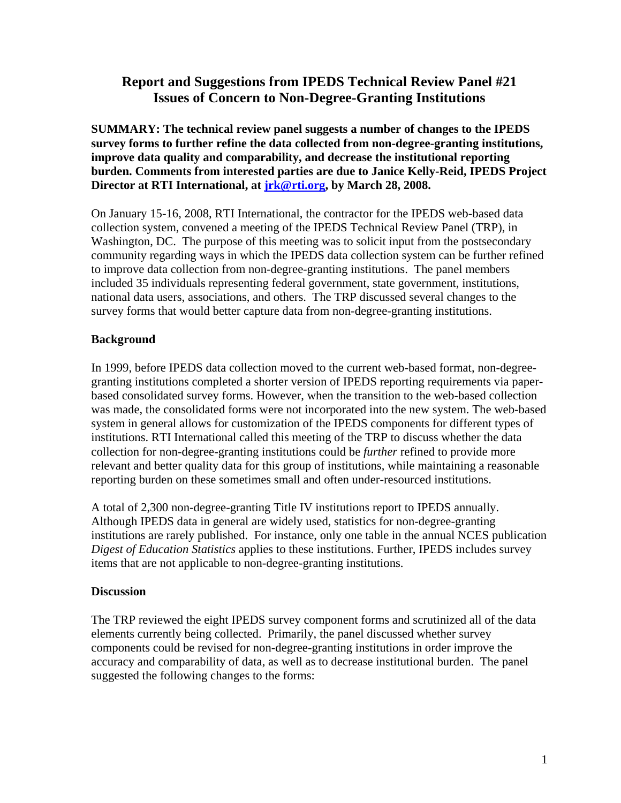# **Report and Suggestions from IPEDS Technical Review Panel #21 Issues of Concern to Non-Degree-Granting Institutions**

**SUMMARY: The technical review panel suggests a number of changes to the IPEDS survey forms to further refine the data collected from non-degree-granting institutions, improve data quality and comparability, and decrease the institutional reporting burden. Comments from interested parties are due to Janice Kelly-Reid, IPEDS Project Director at RTI International, at jrk@rti.org, by March 28, 2008.** 

On January 15-16, 2008, RTI International, the contractor for the IPEDS web-based data collection system, convened a meeting of the IPEDS Technical Review Panel (TRP), in Washington, DC. The purpose of this meeting was to solicit input from the postsecondary community regarding ways in which the IPEDS data collection system can be further refined to improve data collection from non-degree-granting institutions. The panel members included 35 individuals representing federal government, state government, institutions, national data users, associations, and others. The TRP discussed several changes to the survey forms that would better capture data from non-degree-granting institutions.

## **Background**

In 1999, before IPEDS data collection moved to the current web-based format, non-degreegranting institutions completed a shorter version of IPEDS reporting requirements via paperbased consolidated survey forms. However, when the transition to the web-based collection was made, the consolidated forms were not incorporated into the new system. The web-based system in general allows for customization of the IPEDS components for different types of institutions. RTI International called this meeting of the TRP to discuss whether the data collection for non-degree-granting institutions could be *further* refined to provide more relevant and better quality data for this group of institutions, while maintaining a reasonable reporting burden on these sometimes small and often under-resourced institutions.

A total of 2,300 non-degree-granting Title IV institutions report to IPEDS annually. Although IPEDS data in general are widely used, statistics for non-degree-granting institutions are rarely published. For instance, only one table in the annual NCES publication *Digest of Education Statistics* applies to these institutions. Further, IPEDS includes survey items that are not applicable to non-degree-granting institutions.

### **Discussion**

The TRP reviewed the eight IPEDS survey component forms and scrutinized all of the data elements currently being collected. Primarily, the panel discussed whether survey components could be revised for non-degree-granting institutions in order improve the accuracy and comparability of data, as well as to decrease institutional burden. The panel suggested the following changes to the forms: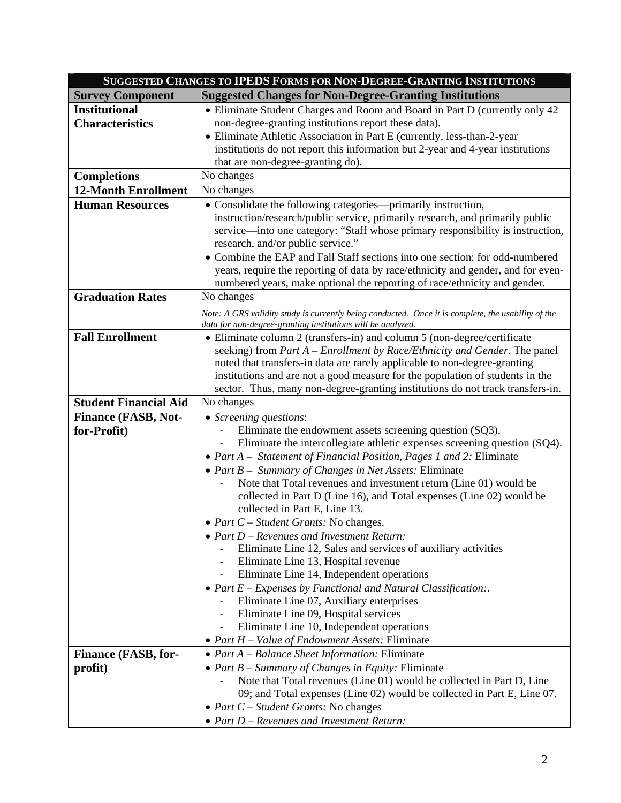| <b>Survey Component</b><br><b>Suggested Changes for Non-Degree-Granting Institutions</b><br><b>Institutional</b><br>• Eliminate Student Charges and Room and Board in Part D (currently only 42)<br>non-degree-granting institutions report these data).<br><b>Characteristics</b><br>• Eliminate Athletic Association in Part E (currently, less-than-2-year<br>institutions do not report this information but 2-year and 4-year institutions<br>that are non-degree-granting do).<br><b>Completions</b><br>No changes<br><b>12-Month Enrollment</b><br>No changes<br><b>Human Resources</b><br>• Consolidate the following categories—primarily instruction,<br>instruction/research/public service, primarily research, and primarily public<br>service—into one category: "Staff whose primary responsibility is instruction,<br>research, and/or public service."<br>• Combine the EAP and Fall Staff sections into one section: for odd-numbered<br>years, require the reporting of data by race/ethnicity and gender, and for even-<br>numbered years, make optional the reporting of race/ethnicity and gender.<br><b>Graduation Rates</b><br>No changes<br>Note: A GRS validity study is currently being conducted. Once it is complete, the usability of the<br>data for non-degree-granting institutions will be analyzed.<br><b>Fall Enrollment</b><br>• Eliminate column 2 (transfers-in) and column 5 (non-degree/certificate<br>seeking) from <i>Part A – Enrollment by Race/Ethnicity and Gender</i> . The panel<br>noted that transfers-in data are rarely applicable to non-degree-granting<br>institutions and are not a good measure for the population of students in the<br>sector. Thus, many non-degree-granting institutions do not track transfers-in.<br><b>Student Financial Aid</b><br>No changes<br><b>Finance (FASB, Not-</b><br>• Screening questions:<br>Eliminate the endowment assets screening question (SQ3).<br>for-Profit)<br>Eliminate the intercollegiate athletic expenses screening question (SQ4).<br>• Part A – Statement of Financial Position, Pages 1 and 2: Eliminate<br>• Part $B -$ Summary of Changes in Net Assets: Eliminate<br>Note that Total revenues and investment return (Line 01) would be<br>collected in Part D (Line 16), and Total expenses (Line 02) would be<br>collected in Part E, Line 13.<br>• Part $C$ – Student Grants: No changes.<br>$\bullet$ Part D – Revenues and Investment Return:<br>Eliminate Line 12, Sales and services of auxiliary activities<br>Eliminate Line 13, Hospital revenue<br>Eliminate Line 14, Independent operations<br>• Part $E$ – Expenses by Functional and Natural Classification:<br>Eliminate Line 07, Auxiliary enterprises<br>Eliminate Line 09, Hospital services | SUGGESTED CHANGES TO IPEDS FORMS FOR NON-DEGREE-GRANTING INSTITUTIONS |  |
|---------------------------------------------------------------------------------------------------------------------------------------------------------------------------------------------------------------------------------------------------------------------------------------------------------------------------------------------------------------------------------------------------------------------------------------------------------------------------------------------------------------------------------------------------------------------------------------------------------------------------------------------------------------------------------------------------------------------------------------------------------------------------------------------------------------------------------------------------------------------------------------------------------------------------------------------------------------------------------------------------------------------------------------------------------------------------------------------------------------------------------------------------------------------------------------------------------------------------------------------------------------------------------------------------------------------------------------------------------------------------------------------------------------------------------------------------------------------------------------------------------------------------------------------------------------------------------------------------------------------------------------------------------------------------------------------------------------------------------------------------------------------------------------------------------------------------------------------------------------------------------------------------------------------------------------------------------------------------------------------------------------------------------------------------------------------------------------------------------------------------------------------------------------------------------------------------------------------------------------------------------------------------------------------------------------------------------------------------------------------------------------------------------------------------------------------------------------------------------------------------------------------------------------------------------------------------------------------------------------------------------------------------------------------------------------------------------------------------------------------------------------------------------|-----------------------------------------------------------------------|--|
|                                                                                                                                                                                                                                                                                                                                                                                                                                                                                                                                                                                                                                                                                                                                                                                                                                                                                                                                                                                                                                                                                                                                                                                                                                                                                                                                                                                                                                                                                                                                                                                                                                                                                                                                                                                                                                                                                                                                                                                                                                                                                                                                                                                                                                                                                                                                                                                                                                                                                                                                                                                                                                                                                                                                                                                 |                                                                       |  |
|                                                                                                                                                                                                                                                                                                                                                                                                                                                                                                                                                                                                                                                                                                                                                                                                                                                                                                                                                                                                                                                                                                                                                                                                                                                                                                                                                                                                                                                                                                                                                                                                                                                                                                                                                                                                                                                                                                                                                                                                                                                                                                                                                                                                                                                                                                                                                                                                                                                                                                                                                                                                                                                                                                                                                                                 |                                                                       |  |
|                                                                                                                                                                                                                                                                                                                                                                                                                                                                                                                                                                                                                                                                                                                                                                                                                                                                                                                                                                                                                                                                                                                                                                                                                                                                                                                                                                                                                                                                                                                                                                                                                                                                                                                                                                                                                                                                                                                                                                                                                                                                                                                                                                                                                                                                                                                                                                                                                                                                                                                                                                                                                                                                                                                                                                                 |                                                                       |  |
|                                                                                                                                                                                                                                                                                                                                                                                                                                                                                                                                                                                                                                                                                                                                                                                                                                                                                                                                                                                                                                                                                                                                                                                                                                                                                                                                                                                                                                                                                                                                                                                                                                                                                                                                                                                                                                                                                                                                                                                                                                                                                                                                                                                                                                                                                                                                                                                                                                                                                                                                                                                                                                                                                                                                                                                 |                                                                       |  |
|                                                                                                                                                                                                                                                                                                                                                                                                                                                                                                                                                                                                                                                                                                                                                                                                                                                                                                                                                                                                                                                                                                                                                                                                                                                                                                                                                                                                                                                                                                                                                                                                                                                                                                                                                                                                                                                                                                                                                                                                                                                                                                                                                                                                                                                                                                                                                                                                                                                                                                                                                                                                                                                                                                                                                                                 |                                                                       |  |
|                                                                                                                                                                                                                                                                                                                                                                                                                                                                                                                                                                                                                                                                                                                                                                                                                                                                                                                                                                                                                                                                                                                                                                                                                                                                                                                                                                                                                                                                                                                                                                                                                                                                                                                                                                                                                                                                                                                                                                                                                                                                                                                                                                                                                                                                                                                                                                                                                                                                                                                                                                                                                                                                                                                                                                                 |                                                                       |  |
|                                                                                                                                                                                                                                                                                                                                                                                                                                                                                                                                                                                                                                                                                                                                                                                                                                                                                                                                                                                                                                                                                                                                                                                                                                                                                                                                                                                                                                                                                                                                                                                                                                                                                                                                                                                                                                                                                                                                                                                                                                                                                                                                                                                                                                                                                                                                                                                                                                                                                                                                                                                                                                                                                                                                                                                 |                                                                       |  |
|                                                                                                                                                                                                                                                                                                                                                                                                                                                                                                                                                                                                                                                                                                                                                                                                                                                                                                                                                                                                                                                                                                                                                                                                                                                                                                                                                                                                                                                                                                                                                                                                                                                                                                                                                                                                                                                                                                                                                                                                                                                                                                                                                                                                                                                                                                                                                                                                                                                                                                                                                                                                                                                                                                                                                                                 |                                                                       |  |
|                                                                                                                                                                                                                                                                                                                                                                                                                                                                                                                                                                                                                                                                                                                                                                                                                                                                                                                                                                                                                                                                                                                                                                                                                                                                                                                                                                                                                                                                                                                                                                                                                                                                                                                                                                                                                                                                                                                                                                                                                                                                                                                                                                                                                                                                                                                                                                                                                                                                                                                                                                                                                                                                                                                                                                                 |                                                                       |  |
|                                                                                                                                                                                                                                                                                                                                                                                                                                                                                                                                                                                                                                                                                                                                                                                                                                                                                                                                                                                                                                                                                                                                                                                                                                                                                                                                                                                                                                                                                                                                                                                                                                                                                                                                                                                                                                                                                                                                                                                                                                                                                                                                                                                                                                                                                                                                                                                                                                                                                                                                                                                                                                                                                                                                                                                 |                                                                       |  |
|                                                                                                                                                                                                                                                                                                                                                                                                                                                                                                                                                                                                                                                                                                                                                                                                                                                                                                                                                                                                                                                                                                                                                                                                                                                                                                                                                                                                                                                                                                                                                                                                                                                                                                                                                                                                                                                                                                                                                                                                                                                                                                                                                                                                                                                                                                                                                                                                                                                                                                                                                                                                                                                                                                                                                                                 |                                                                       |  |
|                                                                                                                                                                                                                                                                                                                                                                                                                                                                                                                                                                                                                                                                                                                                                                                                                                                                                                                                                                                                                                                                                                                                                                                                                                                                                                                                                                                                                                                                                                                                                                                                                                                                                                                                                                                                                                                                                                                                                                                                                                                                                                                                                                                                                                                                                                                                                                                                                                                                                                                                                                                                                                                                                                                                                                                 |                                                                       |  |
|                                                                                                                                                                                                                                                                                                                                                                                                                                                                                                                                                                                                                                                                                                                                                                                                                                                                                                                                                                                                                                                                                                                                                                                                                                                                                                                                                                                                                                                                                                                                                                                                                                                                                                                                                                                                                                                                                                                                                                                                                                                                                                                                                                                                                                                                                                                                                                                                                                                                                                                                                                                                                                                                                                                                                                                 |                                                                       |  |
|                                                                                                                                                                                                                                                                                                                                                                                                                                                                                                                                                                                                                                                                                                                                                                                                                                                                                                                                                                                                                                                                                                                                                                                                                                                                                                                                                                                                                                                                                                                                                                                                                                                                                                                                                                                                                                                                                                                                                                                                                                                                                                                                                                                                                                                                                                                                                                                                                                                                                                                                                                                                                                                                                                                                                                                 |                                                                       |  |
|                                                                                                                                                                                                                                                                                                                                                                                                                                                                                                                                                                                                                                                                                                                                                                                                                                                                                                                                                                                                                                                                                                                                                                                                                                                                                                                                                                                                                                                                                                                                                                                                                                                                                                                                                                                                                                                                                                                                                                                                                                                                                                                                                                                                                                                                                                                                                                                                                                                                                                                                                                                                                                                                                                                                                                                 |                                                                       |  |
|                                                                                                                                                                                                                                                                                                                                                                                                                                                                                                                                                                                                                                                                                                                                                                                                                                                                                                                                                                                                                                                                                                                                                                                                                                                                                                                                                                                                                                                                                                                                                                                                                                                                                                                                                                                                                                                                                                                                                                                                                                                                                                                                                                                                                                                                                                                                                                                                                                                                                                                                                                                                                                                                                                                                                                                 |                                                                       |  |
|                                                                                                                                                                                                                                                                                                                                                                                                                                                                                                                                                                                                                                                                                                                                                                                                                                                                                                                                                                                                                                                                                                                                                                                                                                                                                                                                                                                                                                                                                                                                                                                                                                                                                                                                                                                                                                                                                                                                                                                                                                                                                                                                                                                                                                                                                                                                                                                                                                                                                                                                                                                                                                                                                                                                                                                 |                                                                       |  |
|                                                                                                                                                                                                                                                                                                                                                                                                                                                                                                                                                                                                                                                                                                                                                                                                                                                                                                                                                                                                                                                                                                                                                                                                                                                                                                                                                                                                                                                                                                                                                                                                                                                                                                                                                                                                                                                                                                                                                                                                                                                                                                                                                                                                                                                                                                                                                                                                                                                                                                                                                                                                                                                                                                                                                                                 |                                                                       |  |
|                                                                                                                                                                                                                                                                                                                                                                                                                                                                                                                                                                                                                                                                                                                                                                                                                                                                                                                                                                                                                                                                                                                                                                                                                                                                                                                                                                                                                                                                                                                                                                                                                                                                                                                                                                                                                                                                                                                                                                                                                                                                                                                                                                                                                                                                                                                                                                                                                                                                                                                                                                                                                                                                                                                                                                                 |                                                                       |  |
|                                                                                                                                                                                                                                                                                                                                                                                                                                                                                                                                                                                                                                                                                                                                                                                                                                                                                                                                                                                                                                                                                                                                                                                                                                                                                                                                                                                                                                                                                                                                                                                                                                                                                                                                                                                                                                                                                                                                                                                                                                                                                                                                                                                                                                                                                                                                                                                                                                                                                                                                                                                                                                                                                                                                                                                 |                                                                       |  |
|                                                                                                                                                                                                                                                                                                                                                                                                                                                                                                                                                                                                                                                                                                                                                                                                                                                                                                                                                                                                                                                                                                                                                                                                                                                                                                                                                                                                                                                                                                                                                                                                                                                                                                                                                                                                                                                                                                                                                                                                                                                                                                                                                                                                                                                                                                                                                                                                                                                                                                                                                                                                                                                                                                                                                                                 |                                                                       |  |
|                                                                                                                                                                                                                                                                                                                                                                                                                                                                                                                                                                                                                                                                                                                                                                                                                                                                                                                                                                                                                                                                                                                                                                                                                                                                                                                                                                                                                                                                                                                                                                                                                                                                                                                                                                                                                                                                                                                                                                                                                                                                                                                                                                                                                                                                                                                                                                                                                                                                                                                                                                                                                                                                                                                                                                                 |                                                                       |  |
|                                                                                                                                                                                                                                                                                                                                                                                                                                                                                                                                                                                                                                                                                                                                                                                                                                                                                                                                                                                                                                                                                                                                                                                                                                                                                                                                                                                                                                                                                                                                                                                                                                                                                                                                                                                                                                                                                                                                                                                                                                                                                                                                                                                                                                                                                                                                                                                                                                                                                                                                                                                                                                                                                                                                                                                 |                                                                       |  |
|                                                                                                                                                                                                                                                                                                                                                                                                                                                                                                                                                                                                                                                                                                                                                                                                                                                                                                                                                                                                                                                                                                                                                                                                                                                                                                                                                                                                                                                                                                                                                                                                                                                                                                                                                                                                                                                                                                                                                                                                                                                                                                                                                                                                                                                                                                                                                                                                                                                                                                                                                                                                                                                                                                                                                                                 |                                                                       |  |
|                                                                                                                                                                                                                                                                                                                                                                                                                                                                                                                                                                                                                                                                                                                                                                                                                                                                                                                                                                                                                                                                                                                                                                                                                                                                                                                                                                                                                                                                                                                                                                                                                                                                                                                                                                                                                                                                                                                                                                                                                                                                                                                                                                                                                                                                                                                                                                                                                                                                                                                                                                                                                                                                                                                                                                                 |                                                                       |  |
|                                                                                                                                                                                                                                                                                                                                                                                                                                                                                                                                                                                                                                                                                                                                                                                                                                                                                                                                                                                                                                                                                                                                                                                                                                                                                                                                                                                                                                                                                                                                                                                                                                                                                                                                                                                                                                                                                                                                                                                                                                                                                                                                                                                                                                                                                                                                                                                                                                                                                                                                                                                                                                                                                                                                                                                 |                                                                       |  |
|                                                                                                                                                                                                                                                                                                                                                                                                                                                                                                                                                                                                                                                                                                                                                                                                                                                                                                                                                                                                                                                                                                                                                                                                                                                                                                                                                                                                                                                                                                                                                                                                                                                                                                                                                                                                                                                                                                                                                                                                                                                                                                                                                                                                                                                                                                                                                                                                                                                                                                                                                                                                                                                                                                                                                                                 |                                                                       |  |
|                                                                                                                                                                                                                                                                                                                                                                                                                                                                                                                                                                                                                                                                                                                                                                                                                                                                                                                                                                                                                                                                                                                                                                                                                                                                                                                                                                                                                                                                                                                                                                                                                                                                                                                                                                                                                                                                                                                                                                                                                                                                                                                                                                                                                                                                                                                                                                                                                                                                                                                                                                                                                                                                                                                                                                                 |                                                                       |  |
|                                                                                                                                                                                                                                                                                                                                                                                                                                                                                                                                                                                                                                                                                                                                                                                                                                                                                                                                                                                                                                                                                                                                                                                                                                                                                                                                                                                                                                                                                                                                                                                                                                                                                                                                                                                                                                                                                                                                                                                                                                                                                                                                                                                                                                                                                                                                                                                                                                                                                                                                                                                                                                                                                                                                                                                 |                                                                       |  |
|                                                                                                                                                                                                                                                                                                                                                                                                                                                                                                                                                                                                                                                                                                                                                                                                                                                                                                                                                                                                                                                                                                                                                                                                                                                                                                                                                                                                                                                                                                                                                                                                                                                                                                                                                                                                                                                                                                                                                                                                                                                                                                                                                                                                                                                                                                                                                                                                                                                                                                                                                                                                                                                                                                                                                                                 |                                                                       |  |
|                                                                                                                                                                                                                                                                                                                                                                                                                                                                                                                                                                                                                                                                                                                                                                                                                                                                                                                                                                                                                                                                                                                                                                                                                                                                                                                                                                                                                                                                                                                                                                                                                                                                                                                                                                                                                                                                                                                                                                                                                                                                                                                                                                                                                                                                                                                                                                                                                                                                                                                                                                                                                                                                                                                                                                                 |                                                                       |  |
|                                                                                                                                                                                                                                                                                                                                                                                                                                                                                                                                                                                                                                                                                                                                                                                                                                                                                                                                                                                                                                                                                                                                                                                                                                                                                                                                                                                                                                                                                                                                                                                                                                                                                                                                                                                                                                                                                                                                                                                                                                                                                                                                                                                                                                                                                                                                                                                                                                                                                                                                                                                                                                                                                                                                                                                 |                                                                       |  |
|                                                                                                                                                                                                                                                                                                                                                                                                                                                                                                                                                                                                                                                                                                                                                                                                                                                                                                                                                                                                                                                                                                                                                                                                                                                                                                                                                                                                                                                                                                                                                                                                                                                                                                                                                                                                                                                                                                                                                                                                                                                                                                                                                                                                                                                                                                                                                                                                                                                                                                                                                                                                                                                                                                                                                                                 |                                                                       |  |
|                                                                                                                                                                                                                                                                                                                                                                                                                                                                                                                                                                                                                                                                                                                                                                                                                                                                                                                                                                                                                                                                                                                                                                                                                                                                                                                                                                                                                                                                                                                                                                                                                                                                                                                                                                                                                                                                                                                                                                                                                                                                                                                                                                                                                                                                                                                                                                                                                                                                                                                                                                                                                                                                                                                                                                                 |                                                                       |  |
|                                                                                                                                                                                                                                                                                                                                                                                                                                                                                                                                                                                                                                                                                                                                                                                                                                                                                                                                                                                                                                                                                                                                                                                                                                                                                                                                                                                                                                                                                                                                                                                                                                                                                                                                                                                                                                                                                                                                                                                                                                                                                                                                                                                                                                                                                                                                                                                                                                                                                                                                                                                                                                                                                                                                                                                 |                                                                       |  |
|                                                                                                                                                                                                                                                                                                                                                                                                                                                                                                                                                                                                                                                                                                                                                                                                                                                                                                                                                                                                                                                                                                                                                                                                                                                                                                                                                                                                                                                                                                                                                                                                                                                                                                                                                                                                                                                                                                                                                                                                                                                                                                                                                                                                                                                                                                                                                                                                                                                                                                                                                                                                                                                                                                                                                                                 |                                                                       |  |
|                                                                                                                                                                                                                                                                                                                                                                                                                                                                                                                                                                                                                                                                                                                                                                                                                                                                                                                                                                                                                                                                                                                                                                                                                                                                                                                                                                                                                                                                                                                                                                                                                                                                                                                                                                                                                                                                                                                                                                                                                                                                                                                                                                                                                                                                                                                                                                                                                                                                                                                                                                                                                                                                                                                                                                                 |                                                                       |  |
|                                                                                                                                                                                                                                                                                                                                                                                                                                                                                                                                                                                                                                                                                                                                                                                                                                                                                                                                                                                                                                                                                                                                                                                                                                                                                                                                                                                                                                                                                                                                                                                                                                                                                                                                                                                                                                                                                                                                                                                                                                                                                                                                                                                                                                                                                                                                                                                                                                                                                                                                                                                                                                                                                                                                                                                 |                                                                       |  |
| Eliminate Line 10, Independent operations                                                                                                                                                                                                                                                                                                                                                                                                                                                                                                                                                                                                                                                                                                                                                                                                                                                                                                                                                                                                                                                                                                                                                                                                                                                                                                                                                                                                                                                                                                                                                                                                                                                                                                                                                                                                                                                                                                                                                                                                                                                                                                                                                                                                                                                                                                                                                                                                                                                                                                                                                                                                                                                                                                                                       |                                                                       |  |
| • Part H – Value of Endowment Assets: Eliminate                                                                                                                                                                                                                                                                                                                                                                                                                                                                                                                                                                                                                                                                                                                                                                                                                                                                                                                                                                                                                                                                                                                                                                                                                                                                                                                                                                                                                                                                                                                                                                                                                                                                                                                                                                                                                                                                                                                                                                                                                                                                                                                                                                                                                                                                                                                                                                                                                                                                                                                                                                                                                                                                                                                                 |                                                                       |  |
| • Part $A$ – Balance Sheet Information: Eliminate<br><b>Finance (FASB, for-</b>                                                                                                                                                                                                                                                                                                                                                                                                                                                                                                                                                                                                                                                                                                                                                                                                                                                                                                                                                                                                                                                                                                                                                                                                                                                                                                                                                                                                                                                                                                                                                                                                                                                                                                                                                                                                                                                                                                                                                                                                                                                                                                                                                                                                                                                                                                                                                                                                                                                                                                                                                                                                                                                                                                 |                                                                       |  |
| • Part $B$ – Summary of Changes in Equity: Eliminate                                                                                                                                                                                                                                                                                                                                                                                                                                                                                                                                                                                                                                                                                                                                                                                                                                                                                                                                                                                                                                                                                                                                                                                                                                                                                                                                                                                                                                                                                                                                                                                                                                                                                                                                                                                                                                                                                                                                                                                                                                                                                                                                                                                                                                                                                                                                                                                                                                                                                                                                                                                                                                                                                                                            |                                                                       |  |
| profit)<br>Note that Total revenues (Line 01) would be collected in Part D, Line                                                                                                                                                                                                                                                                                                                                                                                                                                                                                                                                                                                                                                                                                                                                                                                                                                                                                                                                                                                                                                                                                                                                                                                                                                                                                                                                                                                                                                                                                                                                                                                                                                                                                                                                                                                                                                                                                                                                                                                                                                                                                                                                                                                                                                                                                                                                                                                                                                                                                                                                                                                                                                                                                                |                                                                       |  |
| 09; and Total expenses (Line 02) would be collected in Part E, Line 07.                                                                                                                                                                                                                                                                                                                                                                                                                                                                                                                                                                                                                                                                                                                                                                                                                                                                                                                                                                                                                                                                                                                                                                                                                                                                                                                                                                                                                                                                                                                                                                                                                                                                                                                                                                                                                                                                                                                                                                                                                                                                                                                                                                                                                                                                                                                                                                                                                                                                                                                                                                                                                                                                                                         |                                                                       |  |
| • Part $C$ – Student Grants: No changes                                                                                                                                                                                                                                                                                                                                                                                                                                                                                                                                                                                                                                                                                                                                                                                                                                                                                                                                                                                                                                                                                                                                                                                                                                                                                                                                                                                                                                                                                                                                                                                                                                                                                                                                                                                                                                                                                                                                                                                                                                                                                                                                                                                                                                                                                                                                                                                                                                                                                                                                                                                                                                                                                                                                         |                                                                       |  |
| • Part D - Revenues and Investment Return:                                                                                                                                                                                                                                                                                                                                                                                                                                                                                                                                                                                                                                                                                                                                                                                                                                                                                                                                                                                                                                                                                                                                                                                                                                                                                                                                                                                                                                                                                                                                                                                                                                                                                                                                                                                                                                                                                                                                                                                                                                                                                                                                                                                                                                                                                                                                                                                                                                                                                                                                                                                                                                                                                                                                      |                                                                       |  |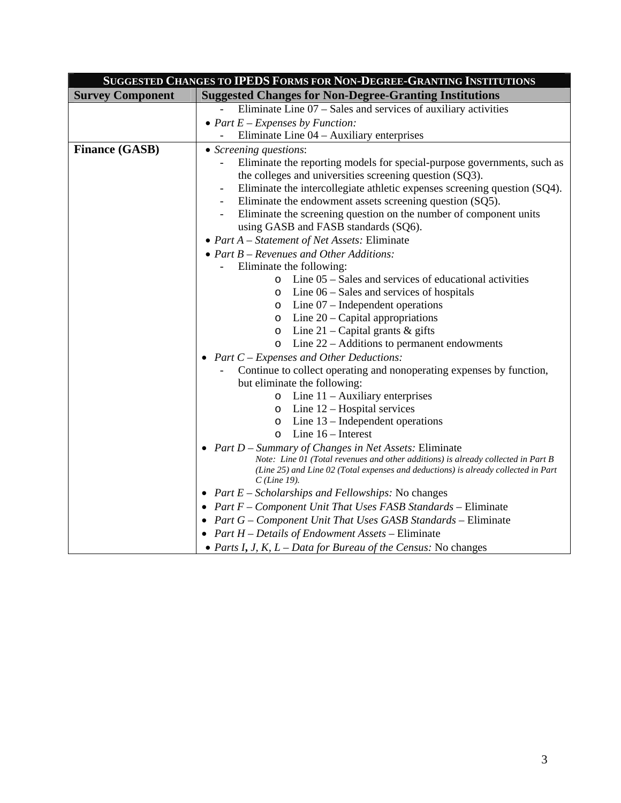| SUGGESTED CHANGES TO IPEDS FORMS FOR NON-DEGREE-GRANTING INSTITUTIONS |                                                                                     |
|-----------------------------------------------------------------------|-------------------------------------------------------------------------------------|
| <b>Survey Component</b>                                               | <b>Suggested Changes for Non-Degree-Granting Institutions</b>                       |
|                                                                       | Eliminate Line $07 - S$ ales and services of auxiliary activities                   |
|                                                                       | • Part $E$ – Expenses by Function:                                                  |
|                                                                       | Eliminate Line 04 – Auxiliary enterprises                                           |
| <b>Finance (GASB)</b>                                                 | • Screening questions:                                                              |
|                                                                       | Eliminate the reporting models for special-purpose governments, such as             |
|                                                                       | the colleges and universities screening question (SQ3).                             |
|                                                                       | Eliminate the intercollegiate athletic expenses screening question (SQ4).           |
|                                                                       | Eliminate the endowment assets screening question (SQ5).                            |
|                                                                       | Eliminate the screening question on the number of component units                   |
|                                                                       | using GASB and FASB standards (SQ6).                                                |
|                                                                       | • Part $A$ – Statement of Net Assets: Eliminate                                     |
|                                                                       | • Part $B$ – Revenues and Other Additions:                                          |
|                                                                       | Eliminate the following:                                                            |
|                                                                       | Line $05$ – Sales and services of educational activities<br>$\circ$                 |
|                                                                       | Line $06$ – Sales and services of hospitals<br>O                                    |
|                                                                       | Line $07$ – Independent operations<br>$\circ$                                       |
|                                                                       | Line $20$ – Capital appropriations<br>$\circ$                                       |
|                                                                       | Line 21 – Capital grants $\&$ gifts<br>$\circ$                                      |
|                                                                       | Line $22$ – Additions to permanent endowments<br>$\circ$                            |
|                                                                       | • Part $C$ – Expenses and Other Deductions:                                         |
|                                                                       | Continue to collect operating and nonoperating expenses by function,                |
|                                                                       | but eliminate the following:                                                        |
|                                                                       | Line $11 -$ Auxiliary enterprises<br>$\circ$<br>$\circ$ Line 12 – Hospital services |
|                                                                       | Line $13$ – Independent operations<br>$\circ$                                       |
|                                                                       | Line $16$ – Interest<br>$\circ$                                                     |
|                                                                       | • Part $D$ – Summary of Changes in Net Assets: Eliminate                            |
|                                                                       | Note: Line 01 (Total revenues and other additions) is already collected in Part B   |
|                                                                       | (Line 25) and Line 02 (Total expenses and deductions) is already collected in Part  |
|                                                                       | $C$ (Line 19).                                                                      |
|                                                                       | • Part $E$ – Scholarships and Fellowships: No changes                               |
|                                                                       | • Part F - Component Unit That Uses FASB Standards - Eliminate                      |
|                                                                       | • Part $G$ – Component Unit That Uses GASB Standards – Eliminate                    |
|                                                                       | • Part $H$ – Details of Endowment Assets – Eliminate                                |
|                                                                       | • Parts I, J, K, $L$ – Data for Bureau of the Census: No changes                    |